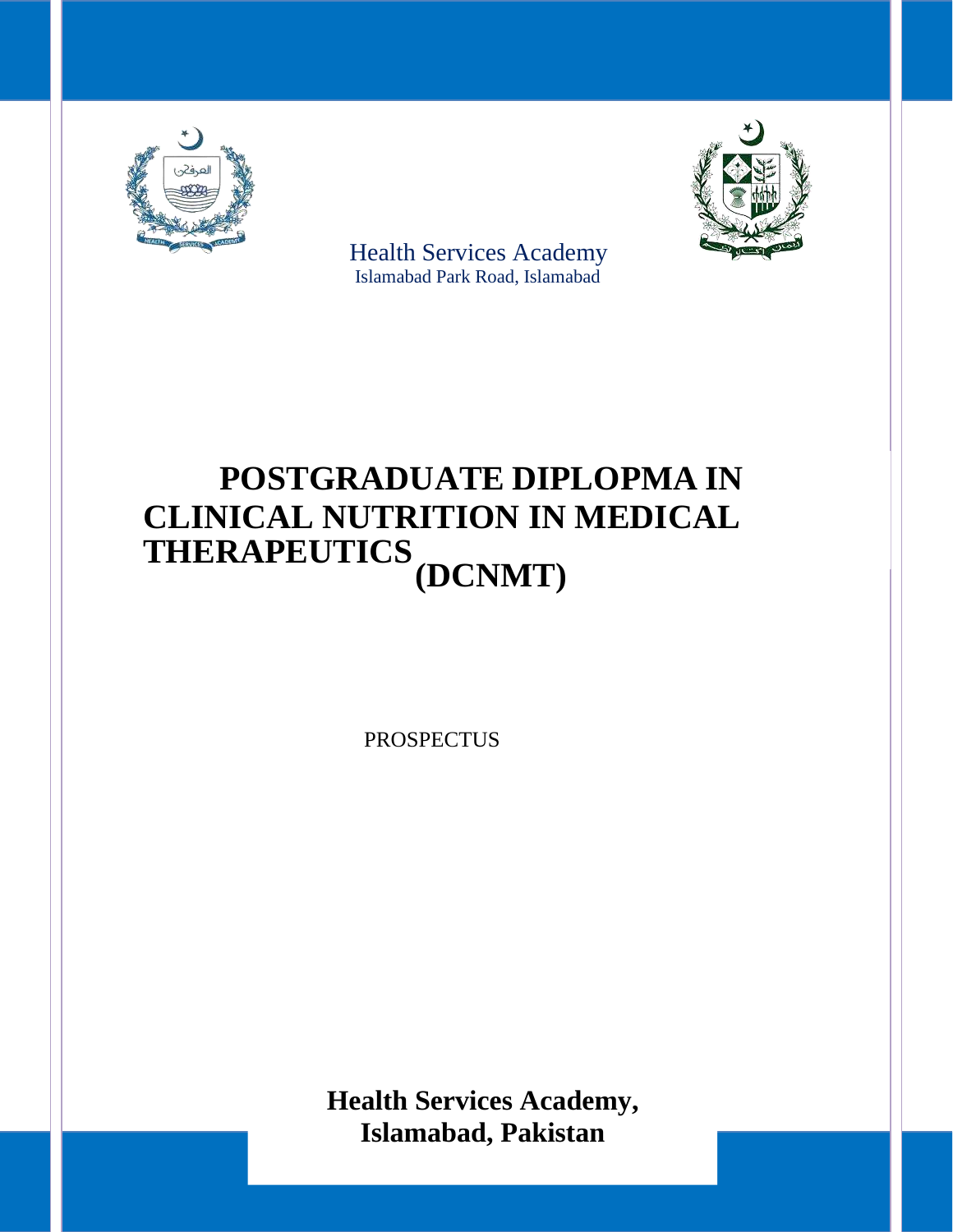

 Health Services Academy Islamabad Park Road, Islamabad



# **POSTGRADUATE DIPLOPMA IN CLINICAL NUTRITION IN MEDICAL** CLINICAL **REAPEUTICS** (DCNMT)

**PROSPECTUS** 

**Health Services Academy, Islamabad, Pakistan**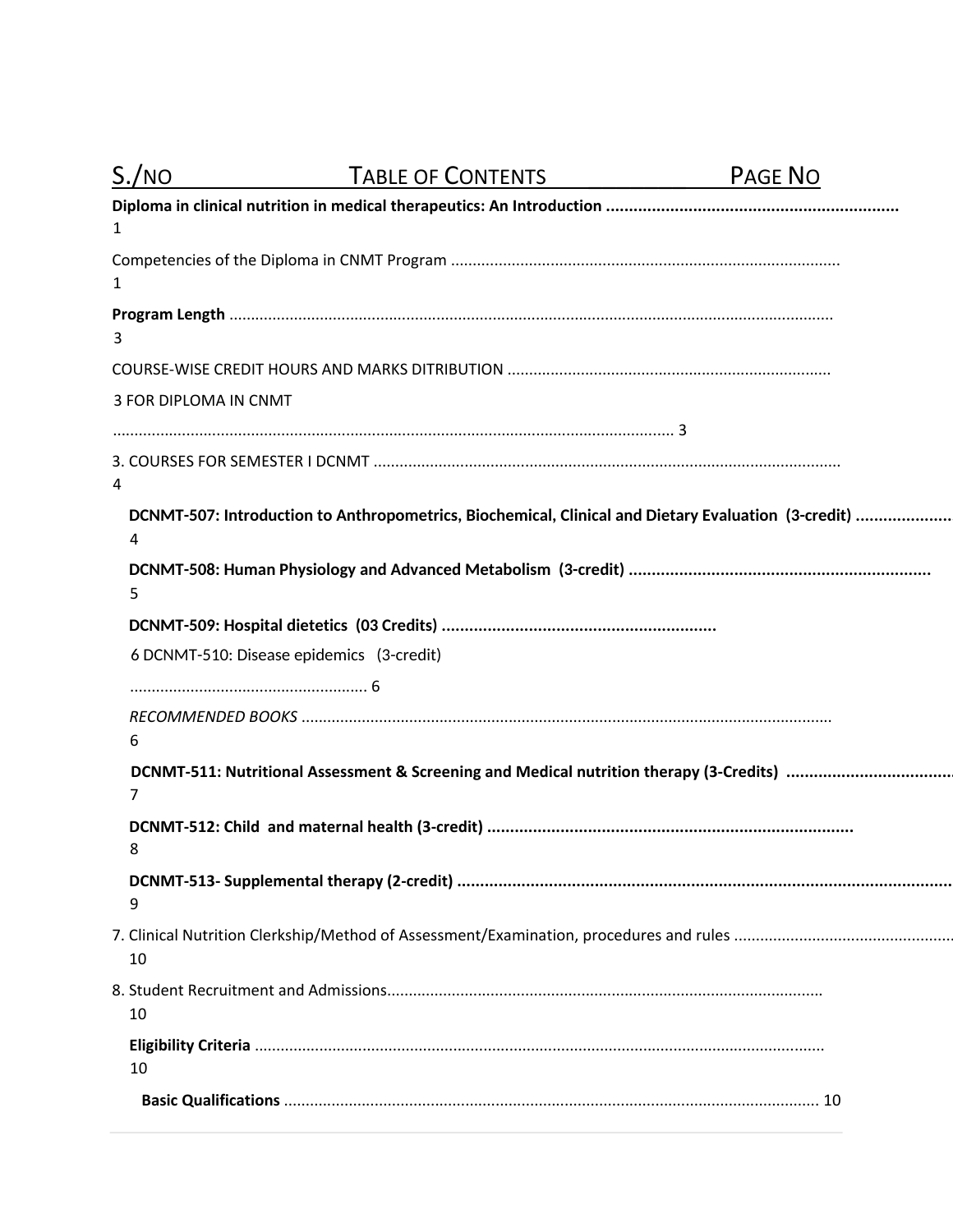| S./NO                 | <b>TABLE OF CONTENTS</b>                                                                            | PAGE NO |
|-----------------------|-----------------------------------------------------------------------------------------------------|---------|
|                       |                                                                                                     |         |
|                       |                                                                                                     |         |
| 1                     |                                                                                                     |         |
|                       |                                                                                                     |         |
| 3                     |                                                                                                     |         |
|                       |                                                                                                     |         |
| 3 FOR DIPLOMA IN CNMT |                                                                                                     |         |
|                       |                                                                                                     |         |
| 4                     |                                                                                                     |         |
|                       |                                                                                                     |         |
| 4                     | DCNMT-507: Introduction to Anthropometrics, Biochemical, Clinical and Dietary Evaluation (3-credit) |         |
| 5                     |                                                                                                     |         |
|                       |                                                                                                     |         |
|                       | 6 DCNMT-510: Disease epidemics (3-credit)                                                           |         |
|                       |                                                                                                     |         |
|                       |                                                                                                     |         |
| 6                     |                                                                                                     |         |
| 7                     |                                                                                                     |         |
| 8                     |                                                                                                     |         |
| 9                     |                                                                                                     |         |
| 10                    |                                                                                                     |         |
|                       |                                                                                                     |         |
| 10                    |                                                                                                     |         |
|                       |                                                                                                     |         |
| 10                    |                                                                                                     |         |
|                       |                                                                                                     |         |
|                       |                                                                                                     |         |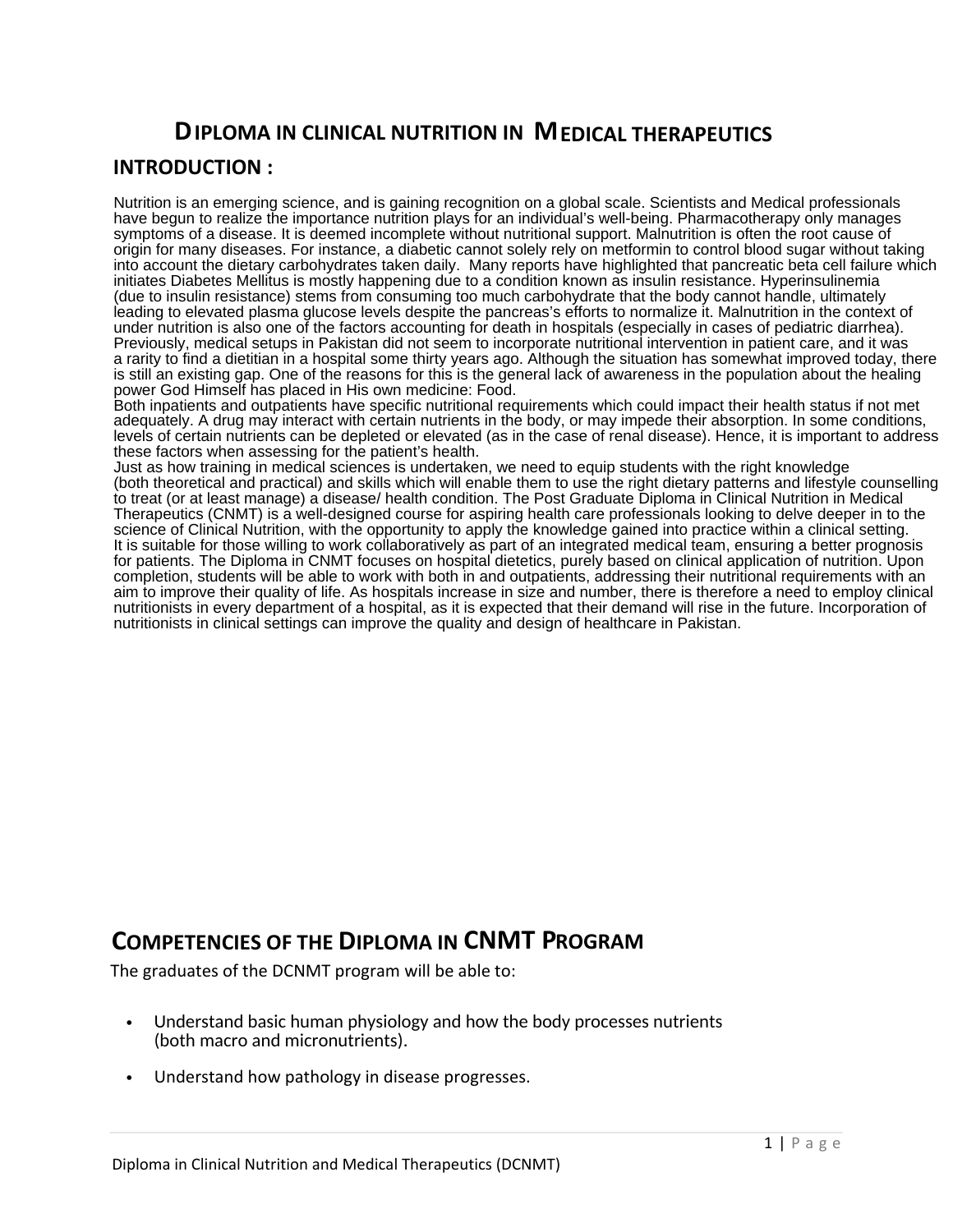# **D**IPLOMA IN CLINICAL NUTRITION IN MEDICAL THERAPEUTICS

## **INTRODUCTION :**

Nutrition is an emerging science, and is gaining recognition on a global scale. Scientists and Medical professionals have begun to realize the importance nutrition plays for an individual's well-being. Pharmacotherapy only manages symptoms of a disease. It is deemed incomplete without nutritional support. Malnutrition is often the root cause of origin for many diseases. For instance, a diabetic cannot solely rely on metformin to control blood sugar without taking into account the dietary carbohydrates taken daily. Many reports have highlighted that pancreatic beta cell failure which initiates Diabetes Mellitus is mostly happening due to a condition known as insulin resistance. Hyperinsulinemia (due to insulin resistance) stems from consuming too much carbohydrate that the body cannot handle, ultimately leading to elevated plasma glucose levels despite the pancreas's efforts to normalize it. Malnutrition in the context of under nutrition is also one of the factors accounting for death in hospitals (especially in cases of pediatric diarrhea). Previously, medical setups in Pakistan did not seem to incorporate nutritional intervention in patient care, and it was a rarity to find a dietitian in a hospital some thirty years ago. Although the situation has somewhat improved today, there is still an existing gap. One of the reasons for this is the general lack of awareness in the population about the healing power God Himself has placed in His own medicine: Food.

Both inpatients and outpatients have specific nutritional requirements which could impact their health status if not met adequately. A drug may interact with certain nutrients in the body, or may impede their absorption. In some conditions, levels of certain nutrients can be depleted or elevated (as in the case of renal disease). Hence, it is important to address these factors when assessing for the patient's health.

Just as how training in medical sciences is undertaken, we need to equip students with the right knowledge (both theoretical and practical) and skills which will enable them to use the right dietary patterns and lifestyle counselling to treat (or at least manage) a disease/ health condition. The Post Graduate Diploma in Clinical Nutrition in Medical Therapeutics (CNMT) is a well-designed course for aspiring health care professionals looking to delve deeper in to the science of Clinical Nutrition, with the opportunity to apply the knowledge gained into practice within a clinical setting. It is suitable for those willing to work collaboratively as part of an integrated medical team, ensuring a better prognosis for patients. The Diploma in CNMT focuses on hospital dietetics, purely based on clinical application of nutrition. Upon completion, students will be able to work with both in and outpatients, addressing their nutritional requirements with an aim to improve their quality of life. As hospitals increase in size and number, there is therefore a need to employ clinical nutritionists in every department of a hospital, as it is expected that their demand will rise in the future. Incorporation of nutritionists in clinical settings can improve the quality and design of healthcare in Pakistan.

# **COMPETENCIES OF THE DIPLOMA IN CNMT PROGRAM**

The graduates of the DCNMT program will be able to:

- Understand basic human physiology and how the body processes nutrients (both macro and micronutrients).
- Understand how pathology in disease progresses.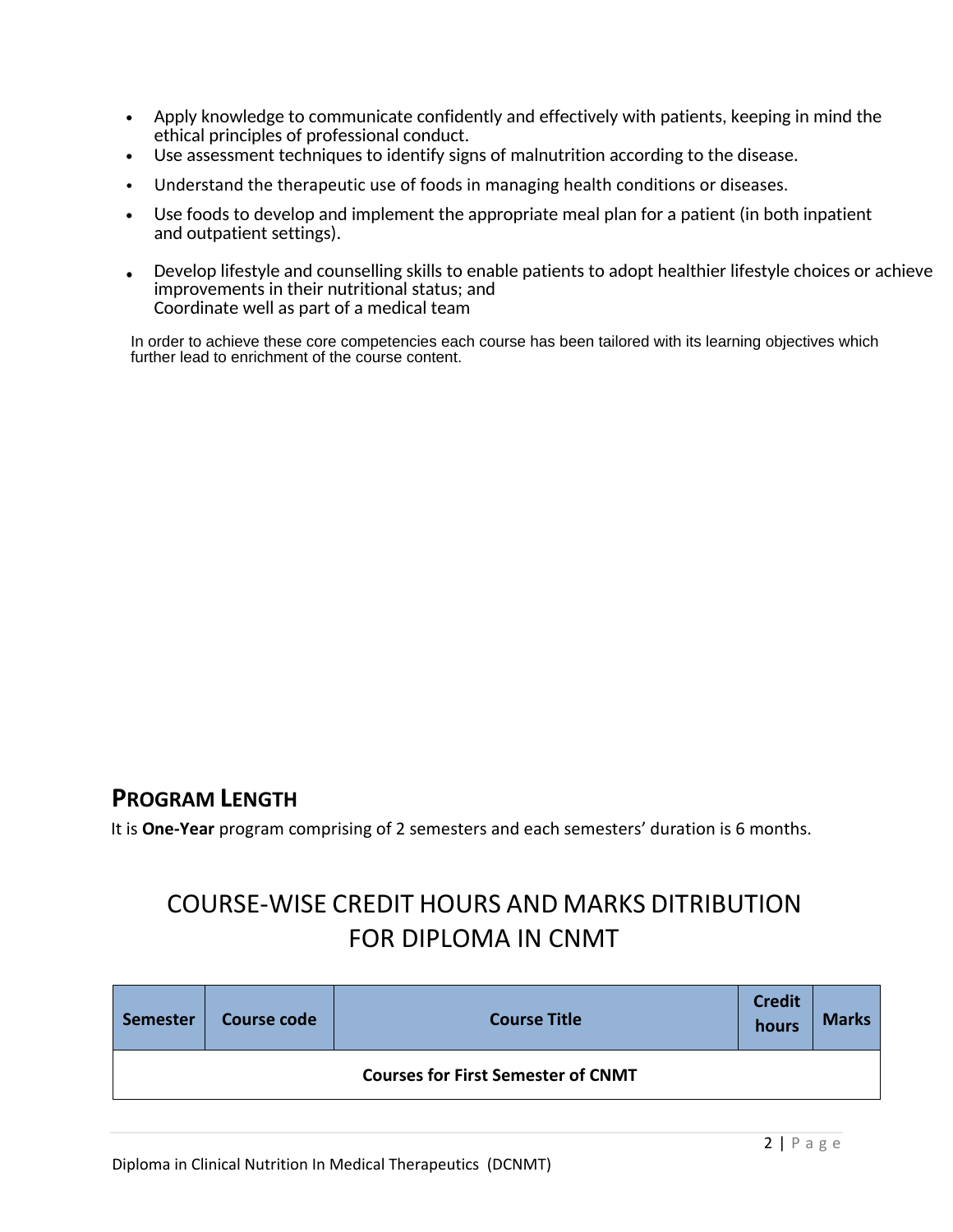- Apply knowledge to communicate confidently and effectively with patients, keeping in mind the ethical principles of professional conduct.
- Use assessment techniques to identify signs of malnutrition according to the disease. •
- Understand the therapeutic use of foods in managing health conditions or diseases.
- . Use foods to develop and implement the appropriate meal plan for a patient (in both inpatient and outpatient settings). •
- Develop lifestyle and counselling skills to enable patients to adopt healthier lifestyle choices or achieve  $\bullet$ improvements in their nutritional status; and Coordinate well as part of a medical team

In order to achieve these core competencies each course has been tailored with its learning objectives which further lead to enrichment of the course content.

# **PROGRAM LENGTH**

It is **One-Year** program comprising of 2 semesters and each semesters' duration is 6 months.

# COURSE-WISE CREDIT HOURS AND MARKS DITRIBUTION FOR DIPLOMA IN CNMT

| <b>Semester</b>                           | Course code | <b>Course Title</b> | <b>Credit</b><br>hours | <b>Marks</b> |  |  |  |
|-------------------------------------------|-------------|---------------------|------------------------|--------------|--|--|--|
| <b>Courses for First Semester of CNMT</b> |             |                     |                        |              |  |  |  |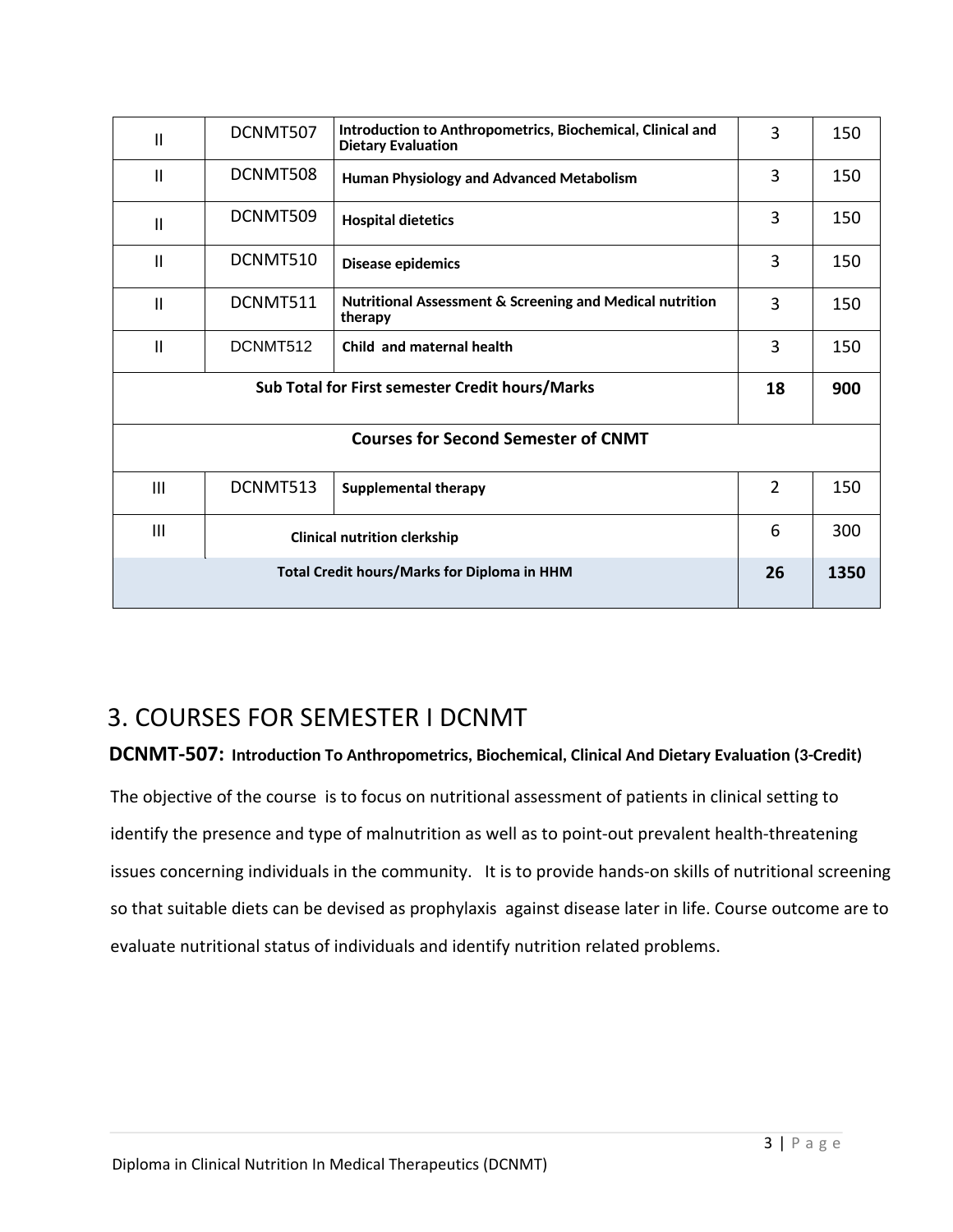| $\mathbf{H}$                                             | DCNMT507                            | Introduction to Anthropometrics, Biochemical, Clinical and<br><b>Dietary Evaluation</b> | 3              | 150 |  |  |  |
|----------------------------------------------------------|-------------------------------------|-----------------------------------------------------------------------------------------|----------------|-----|--|--|--|
| $\mathbf{H}$                                             | DCNMT508                            | Human Physiology and Advanced Metabolism                                                | 3              | 150 |  |  |  |
| $\mathbf{I}$                                             | DCNMT509                            | <b>Hospital dietetics</b>                                                               | 3              | 150 |  |  |  |
| $\mathsf{II}$                                            | DCNMT510                            | Disease epidemics                                                                       | 3              | 150 |  |  |  |
| $\mathbf{H}$                                             | DCNMT511                            | Nutritional Assessment & Screening and Medical nutrition<br>therapy                     | 3              | 150 |  |  |  |
| $\mathbf{H}$                                             | DCNMT512                            | Child and maternal health                                                               | 3              | 150 |  |  |  |
|                                                          | 18                                  | 900                                                                                     |                |     |  |  |  |
| <b>Courses for Second Semester of CNMT</b>               |                                     |                                                                                         |                |     |  |  |  |
| III                                                      | DCNMT513                            | <b>Supplemental therapy</b>                                                             | $\overline{2}$ | 150 |  |  |  |
| $\mathbf{III}$                                           | <b>Clinical nutrition clerkship</b> |                                                                                         | 6              | 300 |  |  |  |
| 26<br><b>Total Credit hours/Marks for Diploma in HHM</b> |                                     |                                                                                         |                |     |  |  |  |

# 3. COURSES FOR SEMESTER I DCNMT

#### **Introduction To Anthropometrics, Biochemical, Clinical And Dietary Evaluation (3-Credit) DCNMT-507:**

The objective of the course is to focus on nutritional assessment of patients in clinical setting to identify the presence and type of malnutrition as well as to point-out prevalent health-threatening issues concerning individuals in the community. It is to provide hands-on skills of nutritional screening so that suitable diets can be devised as prophylaxis against disease later in life. Course outcome are to evaluate nutritional status of individuals and identify nutrition related problems.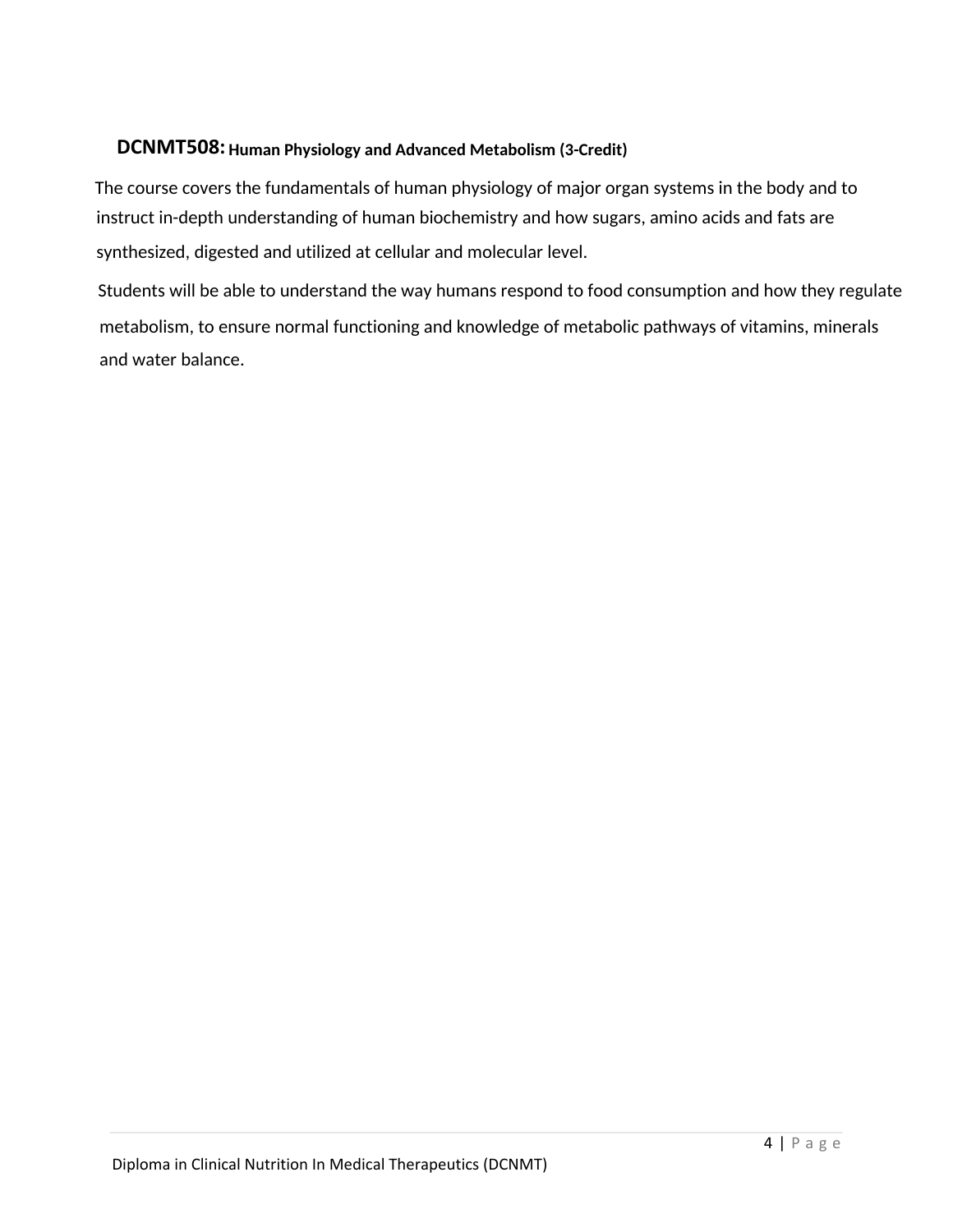## **Human Physiology and Advanced Metabolism (3-Credit) DCNMT508:**

The course covers the fundamentals of human physiology of major organ systems in the body and to instruct in-depth understanding of human biochemistry and how sugars, amino acids and fats are synthesized, digested and utilized at cellular and molecular level.

Students will be able to understand the way humans respond to food consumption and how they regulate metabolism, to ensure normal functioning and knowledge of metabolic pathways of vitamins, minerals and water balance.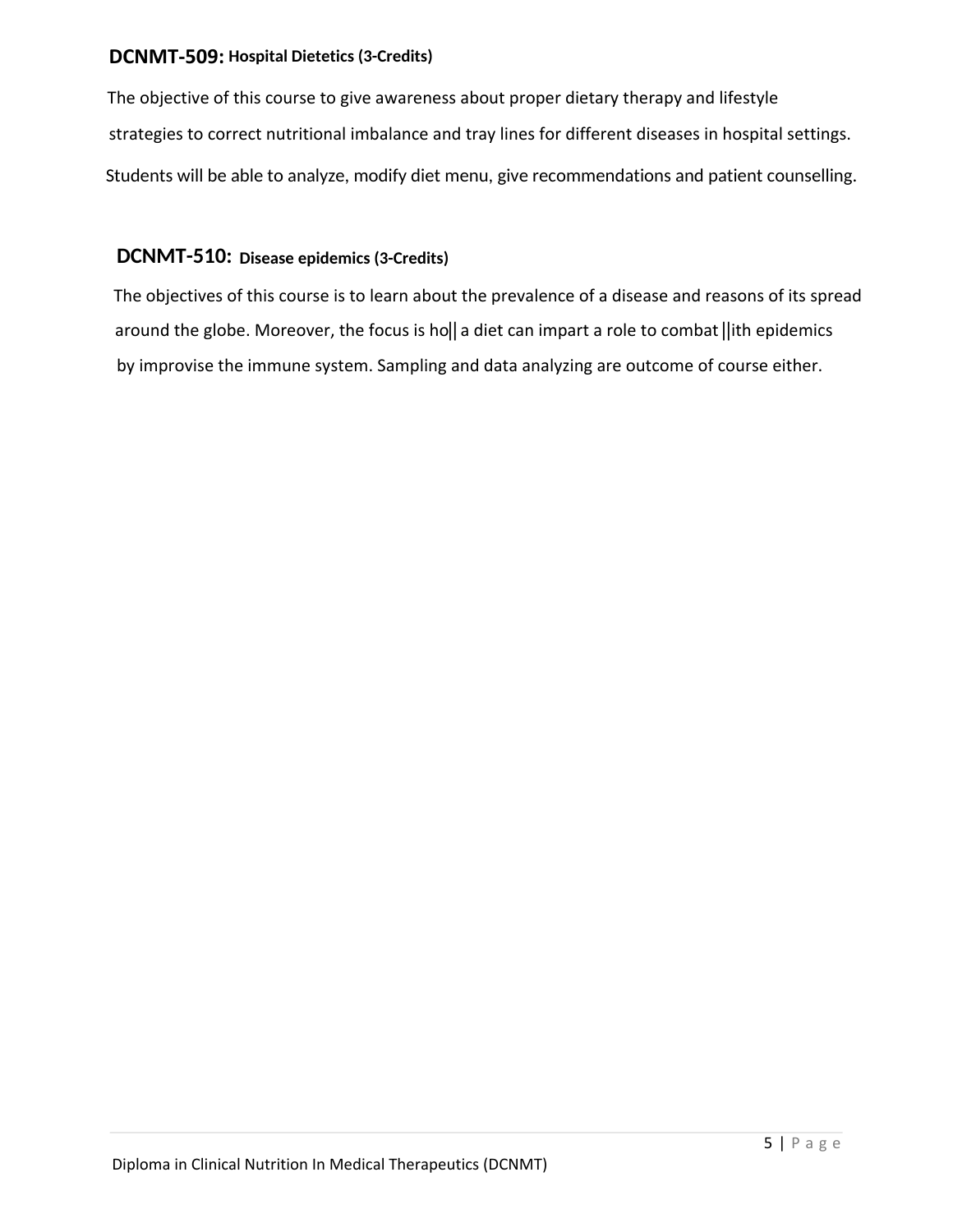## **Hospital Dietetics (3-Credits) DCNMT-509:**

The objective of this course to give awareness about proper dietary therapy and lifestyle strategies to correct nutritional imbalance and tray lines for different diseases in hospital settings. Students will be able to analyze, modify diet menu, give recommendations and patient counselling.

#### DCNMT-510: Disease epidemics (3-Credits)

The objectives of this course is to learn about the prevalence of a disease and reasons of its spread around the globe. Moreover, the focus is holl a diet can impart a role to combat llith epidemics by improvise the immune system. Sampling and data analyzing are outcome of course either.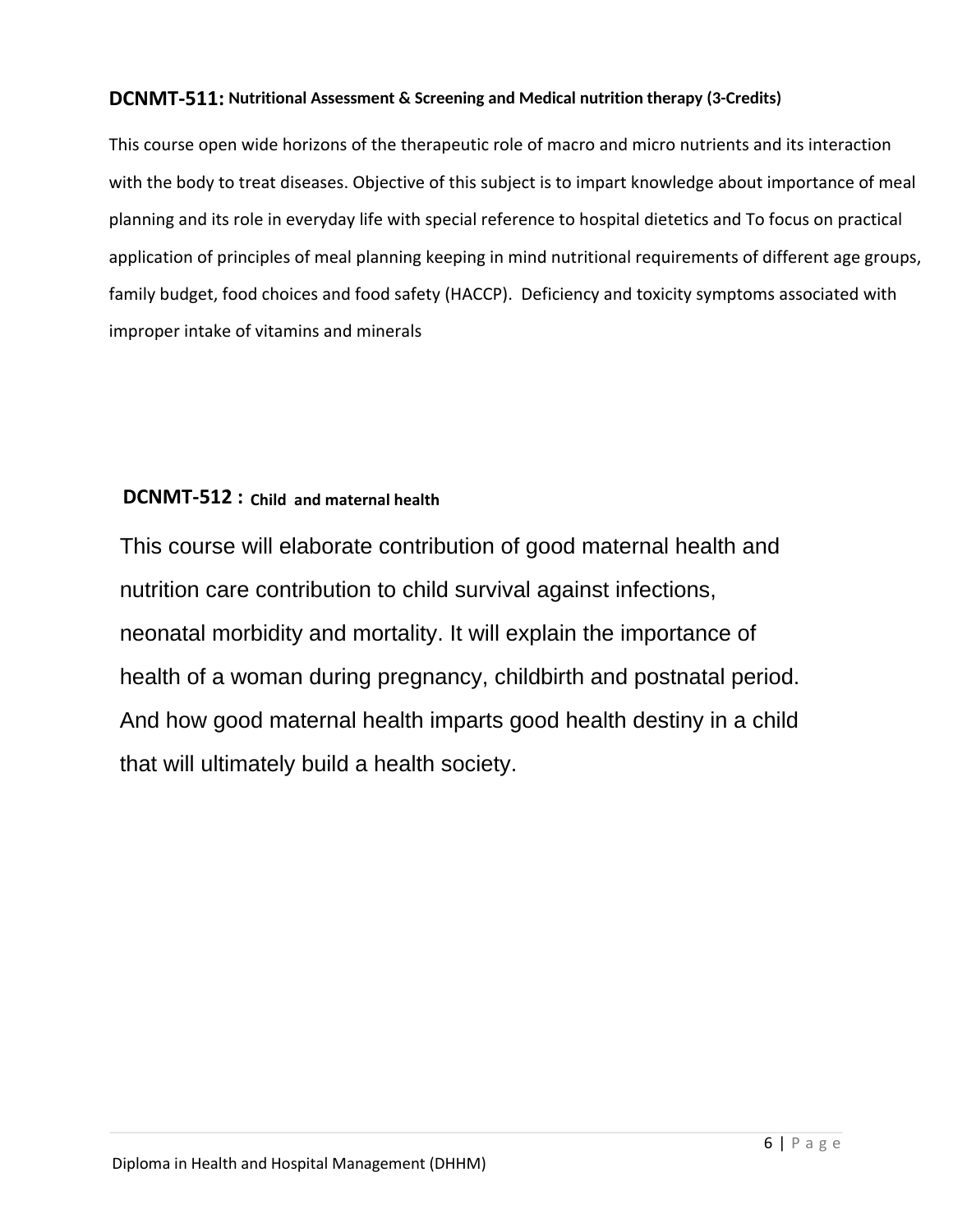## **DCNMT-511: Nutritional Assessment & Screening and Medical nutrition therapy (3-Credits)**

This course open wide horizons of the therapeutic role of macro and micro nutrients [and its in](https://www.alibris.com/search/books/author/Facility-Guidelines-Institute)teraction with the body to treat diseases. Objective of this subject is to impart knowledge about importance of meal planning and its role in everyday life with special reference to hospital dietetics and To focus on practical application of principles of meal planning keeping in mind nutritional requirements of different age groups, family budget, food choices and food safety (HACCP). Deficiency and toxicity symptoms associated with improper intake of vitamins and minerals

#### DCNMT-512 : Child and maternal health

This course will elaborate contribution of good maternal health and nutrition care contribution to child survival against infections, neonatal morbidity and mortality. It will explain the importance of health of a woman during pregnancy, childbirth and postnatal period. And how good maternal health imparts good health destiny in a child that will ultimately build a health society.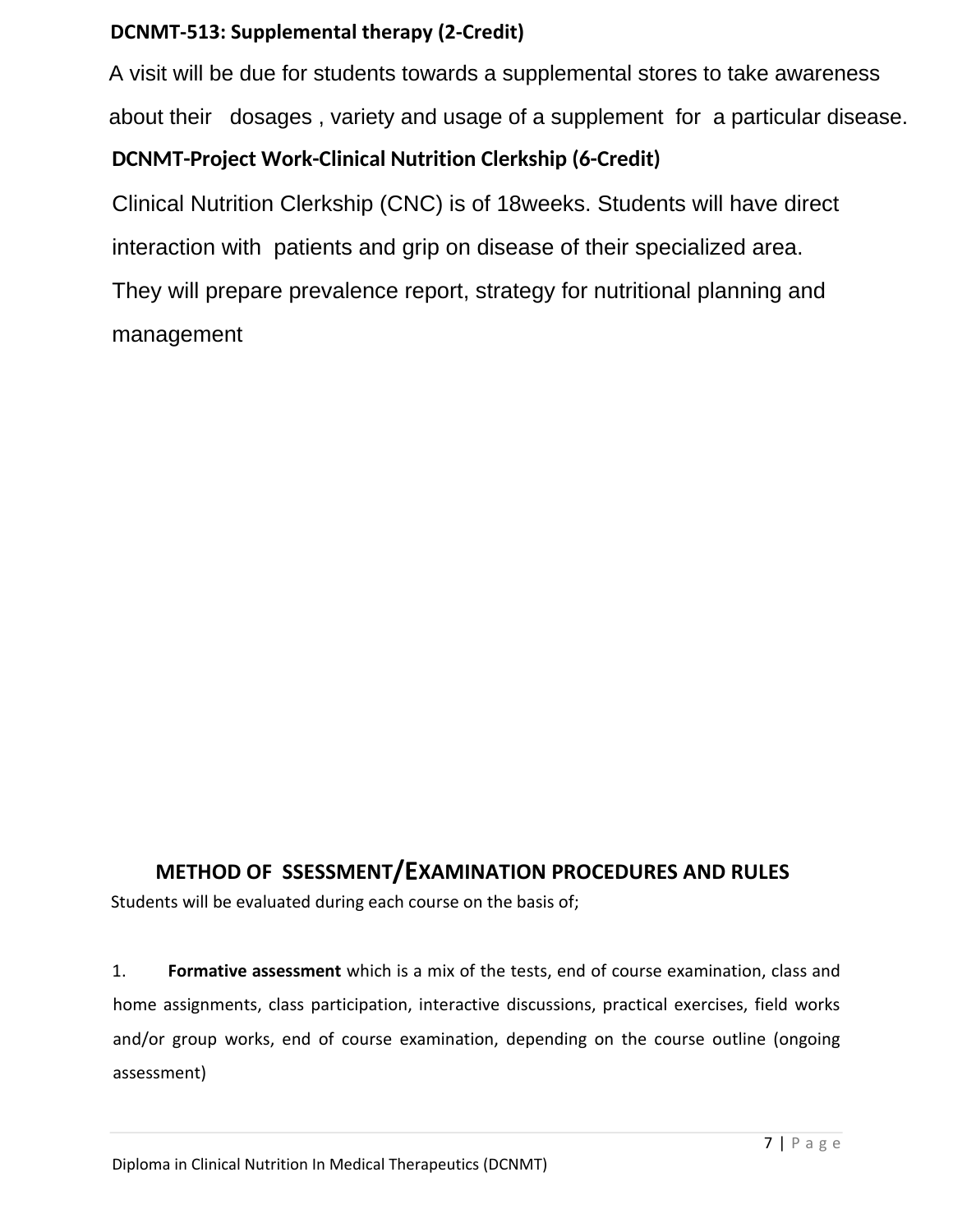## **DCNMT-513: Supplemental therapy (2-Credit)**

A visit will be due for students towards a supplemental stores to take awareness

about their dosages , variety and usage of a supplement for a particular disease.

# **DCNMT-Project Work-Clinical Nutrition Clerkship (6-Credit)**

Clinical Nutrition Clerkship (CNC) is of 18weeks. Students will have direct

interaction with patients and grip on disease of their specialized area.

They will prepare prevalence report, strategy for nutritional planning and management

# **/E METHOD OF SSESSMENT XAMINATION PROCEDURES AND RULES**

Students will be evaluated during each course on the basis of;

1. **Formative assessment** which is a mix of the tests, end of course examination, class and home assignments, class participation, interactive discussions, practical exercises, field works and/or group works, end of course examination, depending on the course outline (ongoing assessment)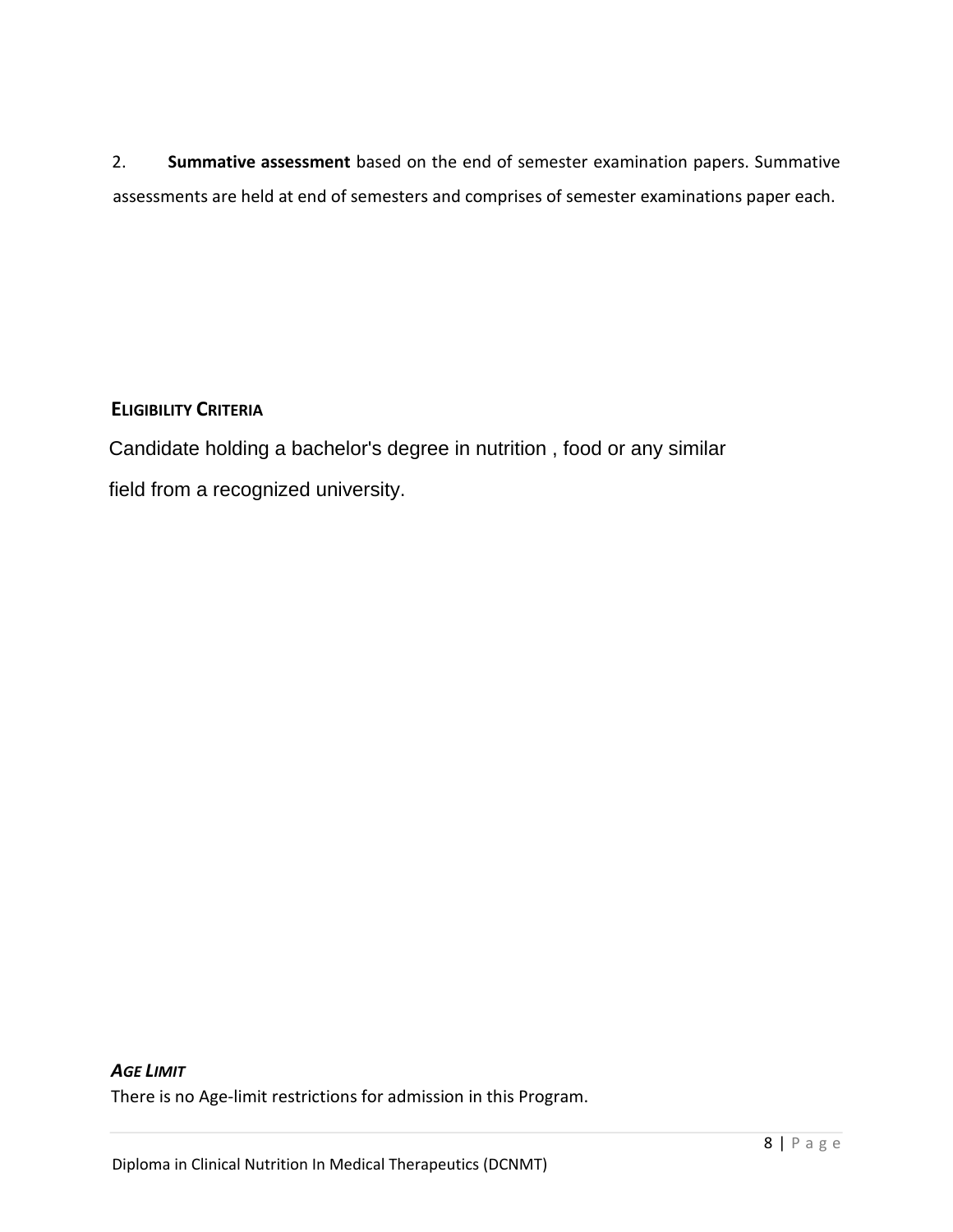2. **Summative assessment** based on the end of semester examination papers. Summative assessments are held at end of semesters and comprises of semester examinations paper each.

### **ELIGIBILITY CRITERIA**

Candidate holding a bachelor's degree in nutrition , food or any similar field from a recognized university.

#### *AGE LIMIT*

There is no Age-limit restrictions for admission in this Program.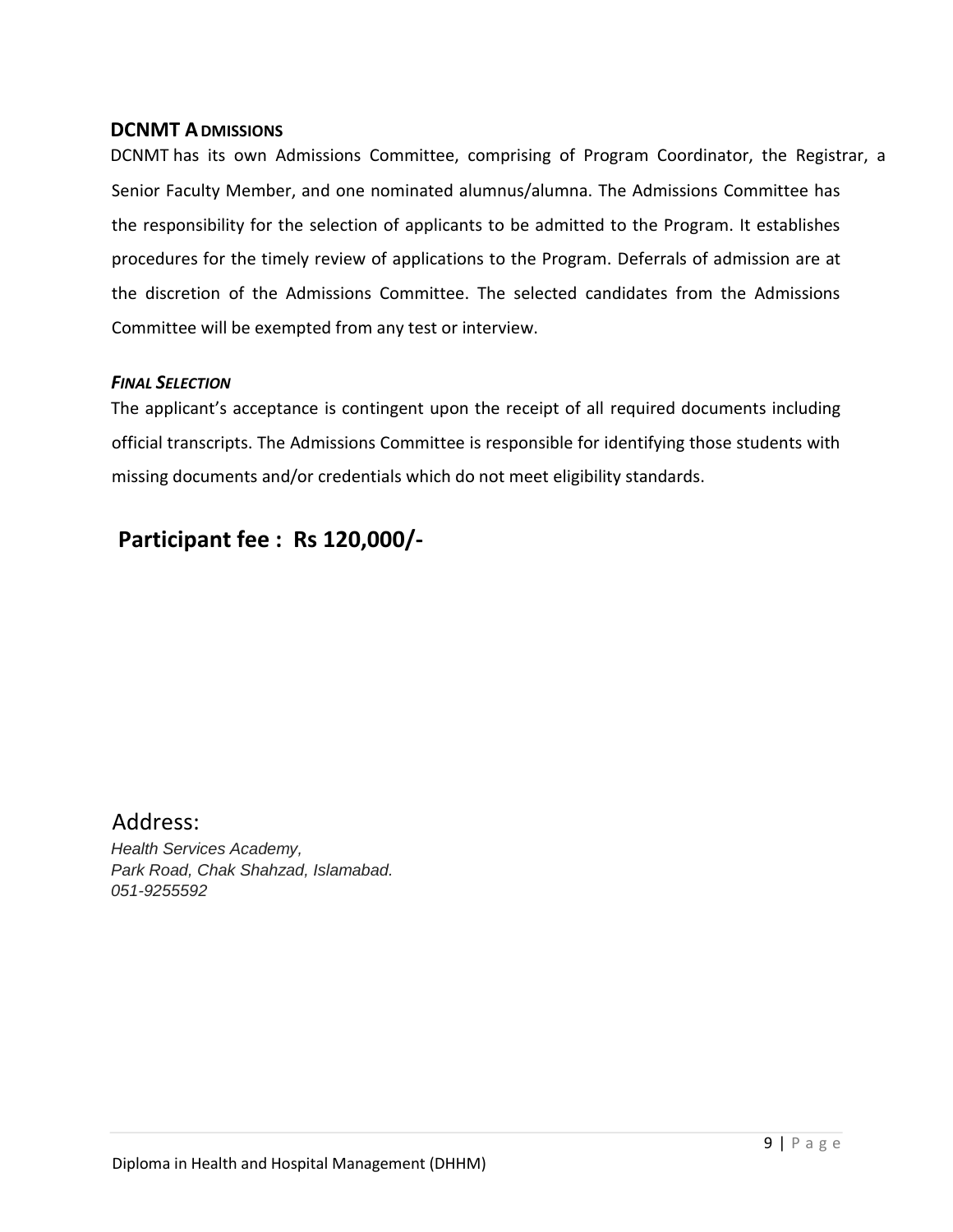#### **DCNMT ADMISSIONS**

Senior Faculty Member, and one nominated alumnus/alumna. The Admissions Committee has the responsibility for the selection of applicants to be admitted to the Program. It establishes procedures for the timely review of applications to the Program. Deferrals of admission are at the discretion of the Admissions Committee. The selected candidates from the Admissions Committee will be exempted from any test or interview. DCNMT has its own Admissions Committee, comprising of Program Coordinator, the Registrar, a

#### *FINAL SELECTION*

The applicant's acceptance is contingent upon the receipt of all required documents including official transcripts. The Admissions Committee is responsible for identifying those students with missing documents and/or credentials which do not meet eligibility standards.

# **Participant fee : Rs 120,000/-**

Address:

*Health Services Academy, Park Road, Chak Shahzad, Islamabad. 051-9255592*